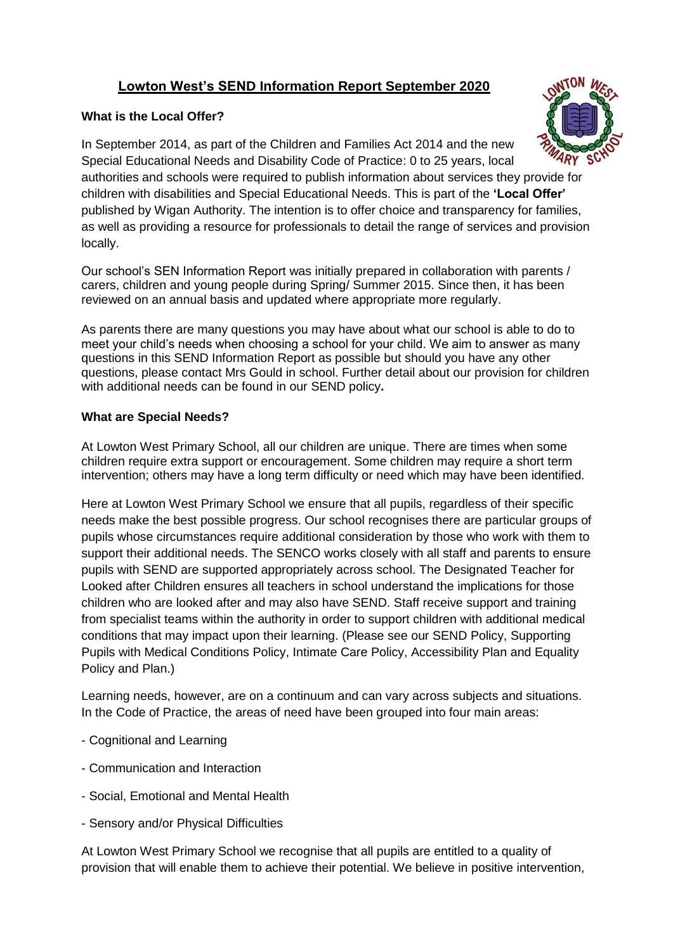# **Lowton West's SEND Information Report September 2020**

## **What is the Local Offer?**

In September 2014, as part of the [Children and Families Act 2014](http://find.redbridge.gov.uk/kb5/redbridge/fsd/advice.page?record=Ozh7EbDysjM) and the new Special Educational Needs and Disability Code of Practice: 0 to 25 years, local authorities and schools were required to publish information about services they provide for children with disabilities and Special Educational Needs. This is part of the **'Local Offer'** published by Wigan Authority. The intention is to offer choice and transparency for families, as well as providing a resource for professionals to detail the range of services and provision locally.

Our school's SEN Information Report was initially prepared in collaboration with parents / carers, children and young people during Spring/ Summer 2015. Since then, it has been reviewed on an annual basis and updated where appropriate more regularly.

As parents there are many questions you may have about what our school is able to do to meet your child's needs when choosing a school for your child. We aim to answer as many questions in this SEND Information Report as possible but should you have any other questions, please contact Mrs Gould in school. Further detail about our provision for children with additional needs can be found in our SEND policy**.**

## **What are Special Needs?**

At Lowton West Primary School, all our children are unique. There are times when some children require extra support or encouragement. Some children may require a short term intervention; others may have a long term difficulty or need which may have been identified.

Here at Lowton West Primary School we ensure that all pupils, regardless of their specific needs make the best possible progress. Our school recognises there are particular groups of pupils whose circumstances require additional consideration by those who work with them to support their additional needs. The SENCO works closely with all staff and parents to ensure pupils with SEND are supported appropriately across school. The Designated Teacher for Looked after Children ensures all teachers in school understand the implications for those children who are looked after and may also have SEND. Staff receive support and training from specialist teams within the authority in order to support children with additional medical conditions that may impact upon their learning. (Please see our SEND Policy, Supporting Pupils with Medical Conditions Policy, Intimate Care Policy, Accessibility Plan and Equality Policy and Plan.)

Learning needs, however, are on a continuum and can vary across subjects and situations. In the Code of Practice, the areas of need have been grouped into four main areas:

- Cognitional and Learning
- Communication and Interaction
- Social, Emotional and Mental Health
- Sensory and/or Physical Difficulties

At Lowton West Primary School we recognise that all pupils are entitled to a quality of provision that will enable them to achieve their potential. We believe in positive intervention,

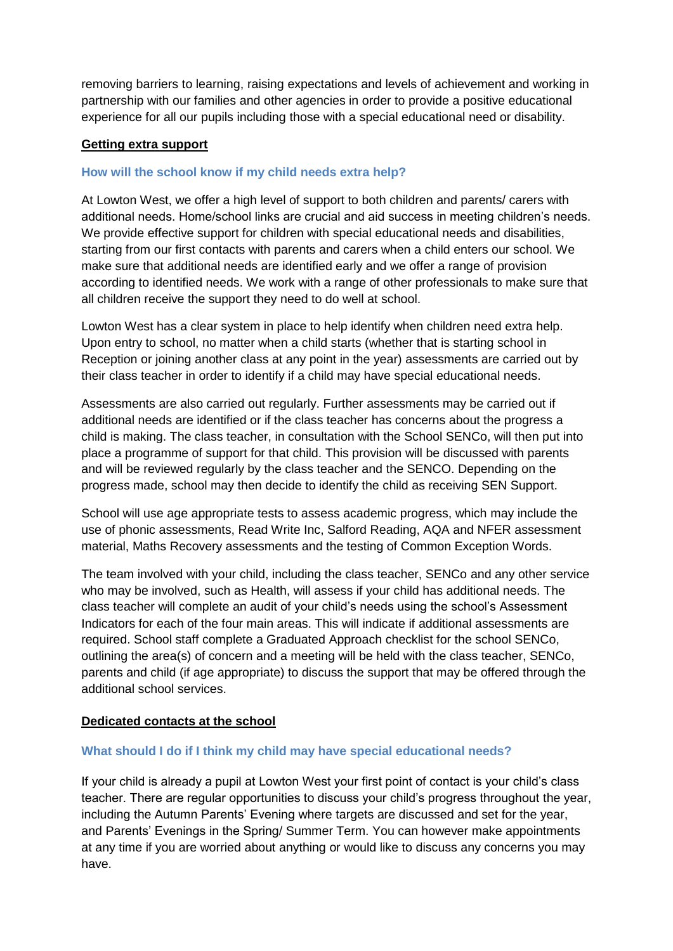removing barriers to learning, raising expectations and levels of achievement and working in partnership with our families and other agencies in order to provide a positive educational experience for all our pupils including those with a special educational need or disability.

## **Getting extra support**

## **How will the school know if my child needs extra help?**

At Lowton West, we offer a high level of support to both children and parents/ carers with additional needs. Home/school links are crucial and aid success in meeting children's needs. We provide effective support for children with special educational needs and disabilities, starting from our first contacts with parents and carers when a child enters our school. We make sure that additional needs are identified early and we offer a range of provision according to identified needs. We work with a range of other professionals to make sure that all children receive the support they need to do well at school.

Lowton West has a clear system in place to help identify when children need extra help. Upon entry to school, no matter when a child starts (whether that is starting school in Reception or joining another class at any point in the year) assessments are carried out by their class teacher in order to identify if a child may have special educational needs.

Assessments are also carried out regularly. Further assessments may be carried out if additional needs are identified or if the class teacher has concerns about the progress a child is making. The class teacher, in consultation with the School SENCo, will then put into place a programme of support for that child. This provision will be discussed with parents and will be reviewed regularly by the class teacher and the SENCO. Depending on the progress made, school may then decide to identify the child as receiving SEN Support.

School will use age appropriate tests to assess academic progress, which may include the use of phonic assessments, Read Write Inc, Salford Reading, AQA and NFER assessment material, Maths Recovery assessments and the testing of Common Exception Words.

The team involved with your child, including the class teacher, SENCo and any other service who may be involved, such as Health, will assess if your child has additional needs. The class teacher will complete an audit of your child's needs using the school's Assessment Indicators for each of the four main areas. This will indicate if additional assessments are required. School staff complete a Graduated Approach checklist for the school SENCo, outlining the area(s) of concern and a meeting will be held with the class teacher, SENCo, parents and child (if age appropriate) to discuss the support that may be offered through the additional school services.

## **Dedicated contacts at the school**

## **What should I do if I think my child may have special educational needs?**

If your child is already a pupil at Lowton West your first point of contact is your child's class teacher. There are regular opportunities to discuss your child's progress throughout the year, including the Autumn Parents' Evening where targets are discussed and set for the year, and Parents' Evenings in the Spring/ Summer Term. You can however make appointments at any time if you are worried about anything or would like to discuss any concerns you may have.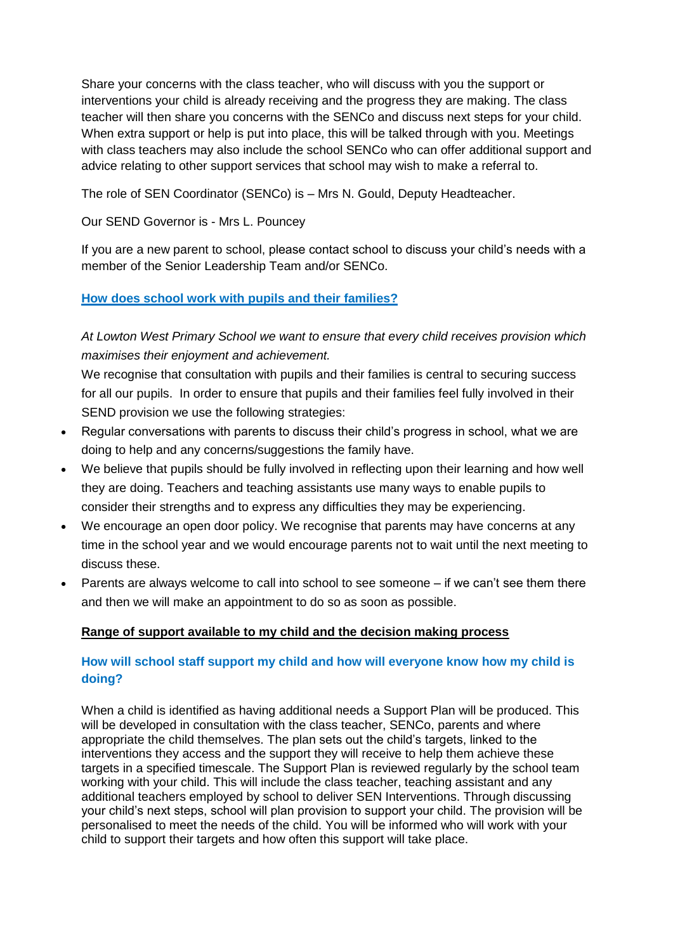Share your concerns with the class teacher, who will discuss with you the support or interventions your child is already receiving and the progress they are making. The class teacher will then share you concerns with the SENCo and discuss next steps for your child. When extra support or help is put into place, this will be talked through with you. Meetings with class teachers may also include the school SENCo who can offer additional support and advice relating to other support services that school may wish to make a referral to.

The role of SEN Coordinator (SENCo) is – Mrs N. Gould, Deputy Headteacher.

Our SEND Governor is - Mrs L. Pouncey

If you are a new parent to school, please contact school to discuss your child's needs with a member of the Senior Leadership Team and/or SENCo.

**How does school work with pupils and their families?**

*At Lowton West Primary School we want to ensure that every child receives provision which maximises their enjoyment and achievement.*

We recognise that consultation with pupils and their families is central to securing success for all our pupils. In order to ensure that pupils and their families feel fully involved in their SEND provision we use the following strategies:

- Regular conversations with parents to discuss their child's progress in school, what we are doing to help and any concerns/suggestions the family have.
- We believe that pupils should be fully involved in reflecting upon their learning and how well they are doing. Teachers and teaching assistants use many ways to enable pupils to consider their strengths and to express any difficulties they may be experiencing.
- We encourage an open door policy. We recognise that parents may have concerns at any time in the school year and we would encourage parents not to wait until the next meeting to discuss these.
- Parents are always welcome to call into school to see someone if we can't see them there and then we will make an appointment to do so as soon as possible.

## **Range of support available to my child and the decision making process**

## **How will school staff support my child and how will everyone know how my child is doing?**

When a child is identified as having additional needs a Support Plan will be produced. This will be developed in consultation with the class teacher, SENCo, parents and where appropriate the child themselves. The plan sets out the child's targets, linked to the interventions they access and the support they will receive to help them achieve these targets in a specified timescale. The Support Plan is reviewed regularly by the school team working with your child. This will include the class teacher, teaching assistant and any additional teachers employed by school to deliver SEN Interventions. Through discussing your child's next steps, school will plan provision to support your child. The provision will be personalised to meet the needs of the child. You will be informed who will work with your child to support their targets and how often this support will take place.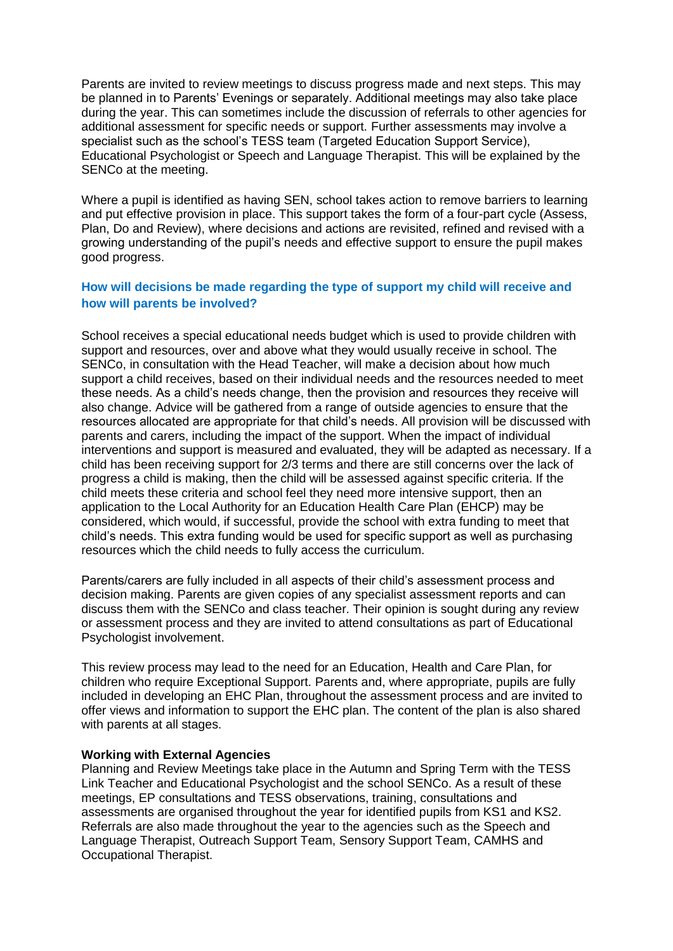Parents are invited to review meetings to discuss progress made and next steps. This may be planned in to Parents' Evenings or separately. Additional meetings may also take place during the year. This can sometimes include the discussion of referrals to other agencies for additional assessment for specific needs or support. Further assessments may involve a specialist such as the school's TESS team (Targeted Education Support Service), Educational Psychologist or Speech and Language Therapist. This will be explained by the SENCo at the meeting.

Where a pupil is identified as having SEN, school takes action to remove barriers to learning and put effective provision in place. This support takes the form of a four-part cycle (Assess, Plan, Do and Review), where decisions and actions are revisited, refined and revised with a growing understanding of the pupil's needs and effective support to ensure the pupil makes good progress.

## **How will decisions be made regarding the type of support my child will receive and how will parents be involved?**

School receives a special educational needs budget which is used to provide children with support and resources, over and above what they would usually receive in school. The SENCo, in consultation with the Head Teacher, will make a decision about how much support a child receives, based on their individual needs and the resources needed to meet these needs. As a child's needs change, then the provision and resources they receive will also change. Advice will be gathered from a range of outside agencies to ensure that the resources allocated are appropriate for that child's needs. All provision will be discussed with parents and carers, including the impact of the support. When the impact of individual interventions and support is measured and evaluated, they will be adapted as necessary. If a child has been receiving support for 2/3 terms and there are still concerns over the lack of progress a child is making, then the child will be assessed against specific criteria. If the child meets these criteria and school feel they need more intensive support, then an application to the Local Authority for an Education Health Care Plan (EHCP) may be considered, which would, if successful, provide the school with extra funding to meet that child's needs. This extra funding would be used for specific support as well as purchasing resources which the child needs to fully access the curriculum.

Parents/carers are fully included in all aspects of their child's assessment process and decision making. Parents are given copies of any specialist assessment reports and can discuss them with the SENCo and class teacher. Their opinion is sought during any review or assessment process and they are invited to attend consultations as part of Educational Psychologist involvement.

This review process may lead to the need for an Education, Health and Care Plan, for children who require Exceptional Support. Parents and, where appropriate, pupils are fully included in developing an EHC Plan, throughout the assessment process and are invited to offer views and information to support the EHC plan. The content of the plan is also shared with parents at all stages.

#### **Working with External Agencies**

Planning and Review Meetings take place in the Autumn and Spring Term with the TESS Link Teacher and Educational Psychologist and the school SENCo. As a result of these meetings, EP consultations and TESS observations, training, consultations and assessments are organised throughout the year for identified pupils from KS1 and KS2. Referrals are also made throughout the year to the agencies such as the Speech and Language Therapist, Outreach Support Team, Sensory Support Team, CAMHS and Occupational Therapist.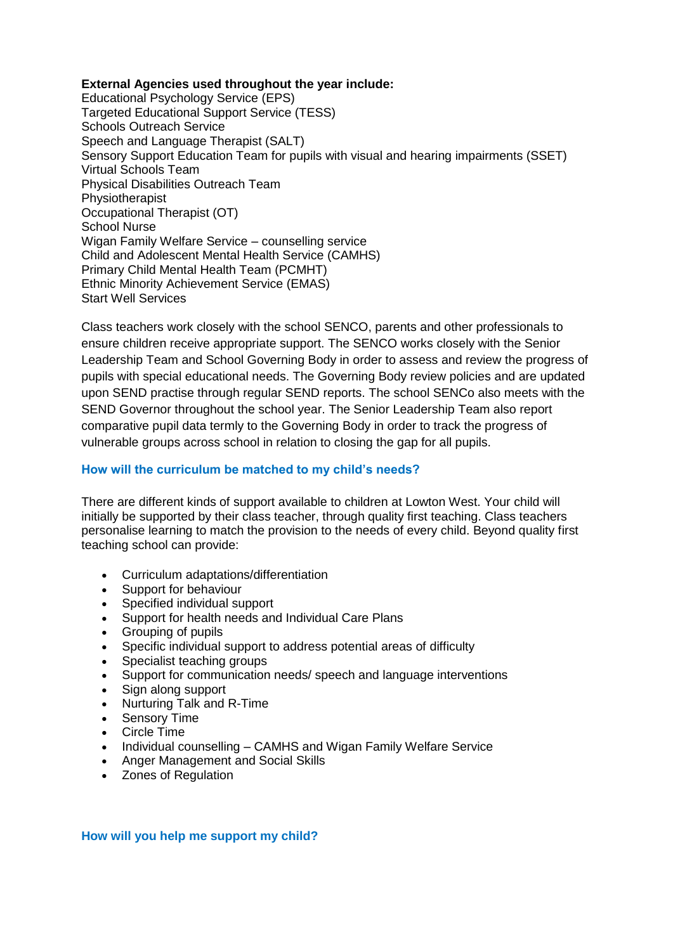## **External Agencies used throughout the year include:**

Educational Psychology Service (EPS) Targeted Educational Support Service (TESS) Schools Outreach Service Speech and Language Therapist (SALT) Sensory Support Education Team for pupils with visual and hearing impairments (SSET) Virtual Schools Team Physical Disabilities Outreach Team Physiotherapist Occupational Therapist (OT) School Nurse Wigan Family Welfare Service – counselling service Child and Adolescent Mental Health Service (CAMHS) Primary Child Mental Health Team (PCMHT) Ethnic Minority Achievement Service (EMAS) Start Well Services

Class teachers work closely with the school SENCO, parents and other professionals to ensure children receive appropriate support. The SENCO works closely with the Senior Leadership Team and School Governing Body in order to assess and review the progress of pupils with special educational needs. The Governing Body review policies and are updated upon SEND practise through regular SEND reports. The school SENCo also meets with the SEND Governor throughout the school year. The Senior Leadership Team also report comparative pupil data termly to the Governing Body in order to track the progress of vulnerable groups across school in relation to closing the gap for all pupils.

## **How will the curriculum be matched to my child's needs?**

There are different kinds of support available to children at Lowton West. Your child will initially be supported by their class teacher, through quality first teaching. Class teachers personalise learning to match the provision to the needs of every child. Beyond quality first teaching school can provide:

- Curriculum adaptations/differentiation
- Support for behaviour
- Specified individual support
- Support for health needs and Individual Care Plans
- Grouping of pupils
- Specific individual support to address potential areas of difficulty
- Specialist teaching groups
- Support for communication needs/ speech and language interventions
- Sign along support
- Nurturing Talk and R-Time
- Sensory Time
- Circle Time
- Individual counselling CAMHS and Wigan Family Welfare Service
- Anger Management and Social Skills
- Zones of Regulation

### **How will you help me support my child?**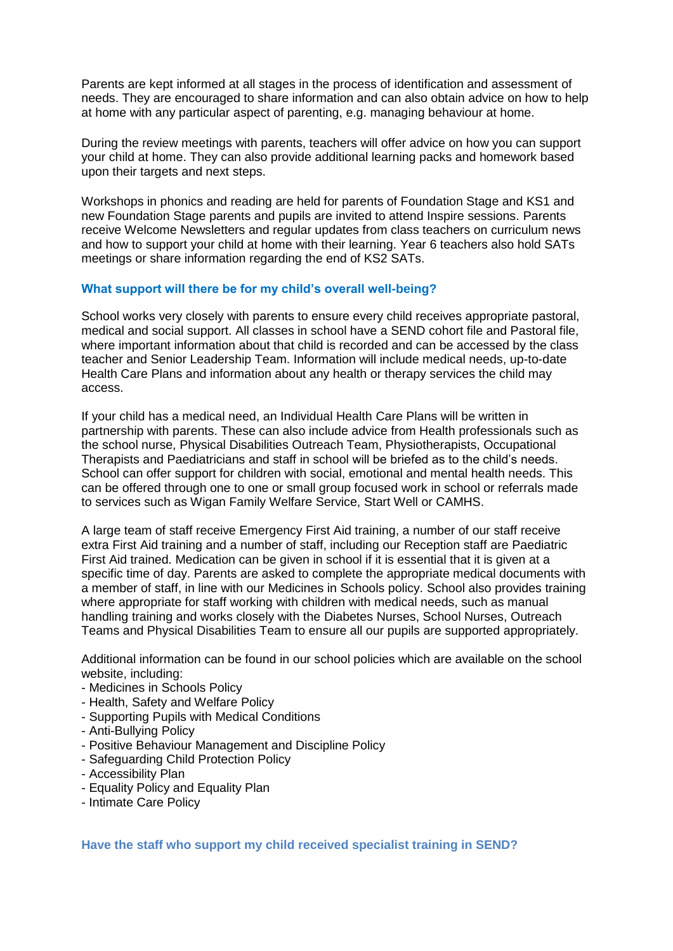Parents are kept informed at all stages in the process of identification and assessment of needs. They are encouraged to share information and can also obtain advice on how to help at home with any particular aspect of parenting, e.g. managing behaviour at home.

During the review meetings with parents, teachers will offer advice on how you can support your child at home. They can also provide additional learning packs and homework based upon their targets and next steps.

Workshops in phonics and reading are held for parents of Foundation Stage and KS1 and new Foundation Stage parents and pupils are invited to attend Inspire sessions. Parents receive Welcome Newsletters and regular updates from class teachers on curriculum news and how to support your child at home with their learning. Year 6 teachers also hold SATs meetings or share information regarding the end of KS2 SATs.

### **What support will there be for my child's overall well-being?**

School works very closely with parents to ensure every child receives appropriate pastoral, medical and social support. All classes in school have a SEND cohort file and Pastoral file, where important information about that child is recorded and can be accessed by the class teacher and Senior Leadership Team. Information will include medical needs, up-to-date Health Care Plans and information about any health or therapy services the child may access.

If your child has a medical need, an Individual Health Care Plans will be written in partnership with parents. These can also include advice from Health professionals such as the school nurse, Physical Disabilities Outreach Team, Physiotherapists, Occupational Therapists and Paediatricians and staff in school will be briefed as to the child's needs. School can offer support for children with social, emotional and mental health needs. This can be offered through one to one or small group focused work in school or referrals made to services such as Wigan Family Welfare Service, Start Well or CAMHS.

A large team of staff receive Emergency First Aid training, a number of our staff receive extra First Aid training and a number of staff, including our Reception staff are Paediatric First Aid trained. Medication can be given in school if it is essential that it is given at a specific time of day. Parents are asked to complete the appropriate medical documents with a member of staff, in line with our Medicines in Schools policy. School also provides training where appropriate for staff working with children with medical needs, such as manual handling training and works closely with the Diabetes Nurses, School Nurses, Outreach Teams and Physical Disabilities Team to ensure all our pupils are supported appropriately.

Additional information can be found in our school policies which are available on the school website, including:

- Medicines in Schools Policy
- Health, Safety and Welfare Policy
- Supporting Pupils with Medical Conditions
- Anti-Bullying Policy
- Positive Behaviour Management and Discipline Policy
- Safeguarding Child Protection Policy
- Accessibility Plan
- Equality Policy and Equality Plan
- Intimate Care Policy

**Have the staff who support my child received specialist training in SEND?**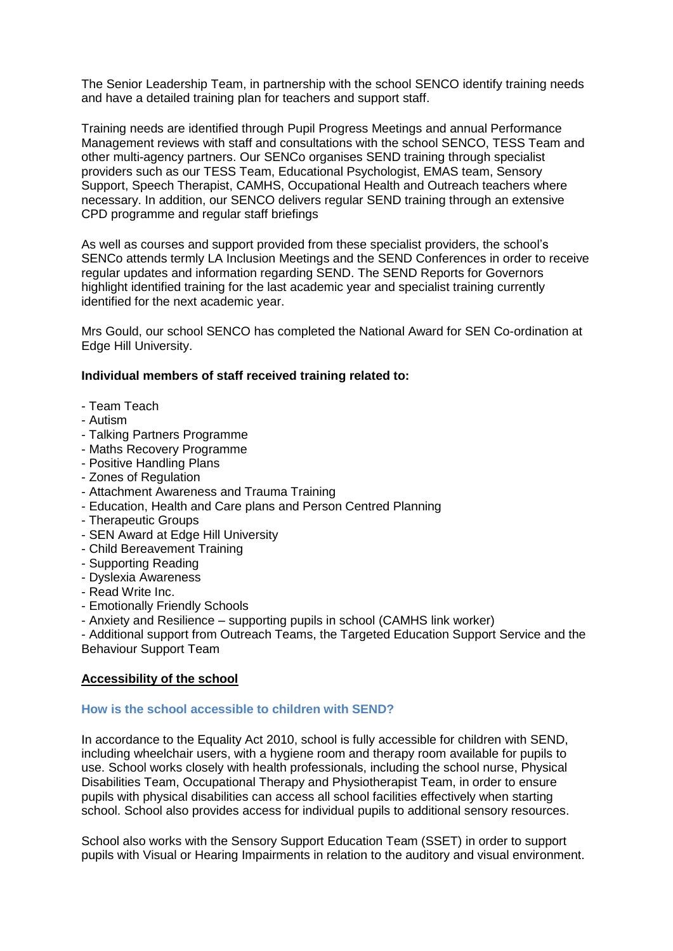The Senior Leadership Team, in partnership with the school SENCO identify training needs and have a detailed training plan for teachers and support staff.

Training needs are identified through Pupil Progress Meetings and annual Performance Management reviews with staff and consultations with the school SENCO, TESS Team and other multi-agency partners. Our SENCo organises SEND training through specialist providers such as our TESS Team, Educational Psychologist, EMAS team, Sensory Support, Speech Therapist, CAMHS, Occupational Health and Outreach teachers where necessary. In addition, our SENCO delivers regular SEND training through an extensive CPD programme and regular staff briefings

As well as courses and support provided from these specialist providers, the school's SENCo attends termly LA Inclusion Meetings and the SEND Conferences in order to receive regular updates and information regarding SEND. The SEND Reports for Governors highlight identified training for the last academic year and specialist training currently identified for the next academic year.

Mrs Gould, our school SENCO has completed the National Award for SEN Co-ordination at Edge Hill University.

### **Individual members of staff received training related to:**

- Team Teach
- Autism
- Talking Partners Programme
- Maths Recovery Programme
- Positive Handling Plans
- Zones of Regulation
- Attachment Awareness and Trauma Training
- Education, Health and Care plans and Person Centred Planning
- Therapeutic Groups
- SEN Award at Edge Hill University
- Child Bereavement Training
- Supporting Reading
- Dyslexia Awareness
- Read Write Inc.
- Emotionally Friendly Schools
- Anxiety and Resilience supporting pupils in school (CAMHS link worker)

- Additional support from Outreach Teams, the Targeted Education Support Service and the Behaviour Support Team

### **Accessibility of the school**

#### **How is the school accessible to children with SEND?**

In accordance to the Equality Act 2010, school is fully accessible for children with SEND, including wheelchair users, with a hygiene room and therapy room available for pupils to use. School works closely with health professionals, including the school nurse, Physical Disabilities Team, Occupational Therapy and Physiotherapist Team, in order to ensure pupils with physical disabilities can access all school facilities effectively when starting school. School also provides access for individual pupils to additional sensory resources.

School also works with the Sensory Support Education Team (SSET) in order to support pupils with Visual or Hearing Impairments in relation to the auditory and visual environment.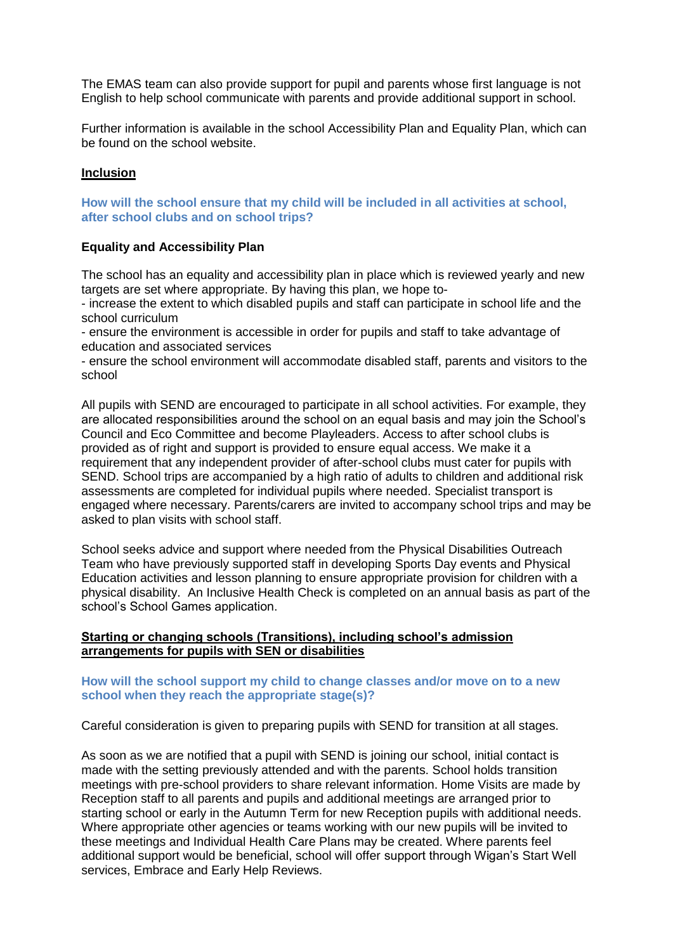The EMAS team can also provide support for pupil and parents whose first language is not English to help school communicate with parents and provide additional support in school.

Further information is available in the school Accessibility Plan and Equality Plan, which can be found on the school website.

#### **Inclusion**

**How will the school ensure that my child will be included in all activities at school, after school clubs and on school trips?** 

#### **Equality and Accessibility Plan**

The school has an equality and accessibility plan in place which is reviewed yearly and new targets are set where appropriate. By having this plan, we hope to-

- increase the extent to which disabled pupils and staff can participate in school life and the school curriculum

- ensure the environment is accessible in order for pupils and staff to take advantage of education and associated services

- ensure the school environment will accommodate disabled staff, parents and visitors to the school

All pupils with SEND are encouraged to participate in all school activities. For example, they are allocated responsibilities around the school on an equal basis and may join the School's Council and Eco Committee and become Playleaders. Access to after school clubs is provided as of right and support is provided to ensure equal access. We make it a requirement that any independent provider of after-school clubs must cater for pupils with SEND. School trips are accompanied by a high ratio of adults to children and additional risk assessments are completed for individual pupils where needed. Specialist transport is engaged where necessary. Parents/carers are invited to accompany school trips and may be asked to plan visits with school staff.

School seeks advice and support where needed from the Physical Disabilities Outreach Team who have previously supported staff in developing Sports Day events and Physical Education activities and lesson planning to ensure appropriate provision for children with a physical disability. An Inclusive Health Check is completed on an annual basis as part of the school's School Games application.

#### **Starting or changing schools (Transitions), including school's admission arrangements for pupils with SEN or disabilities**

#### **How will the school support my child to change classes and/or move on to a new school when they reach the appropriate stage(s)?**

Careful consideration is given to preparing pupils with SEND for transition at all stages.

As soon as we are notified that a pupil with SEND is joining our school, initial contact is made with the setting previously attended and with the parents. School holds transition meetings with pre-school providers to share relevant information. Home Visits are made by Reception staff to all parents and pupils and additional meetings are arranged prior to starting school or early in the Autumn Term for new Reception pupils with additional needs. Where appropriate other agencies or teams working with our new pupils will be invited to these meetings and Individual Health Care Plans may be created. Where parents feel additional support would be beneficial, school will offer support through Wigan's Start Well services, Embrace and Early Help Reviews.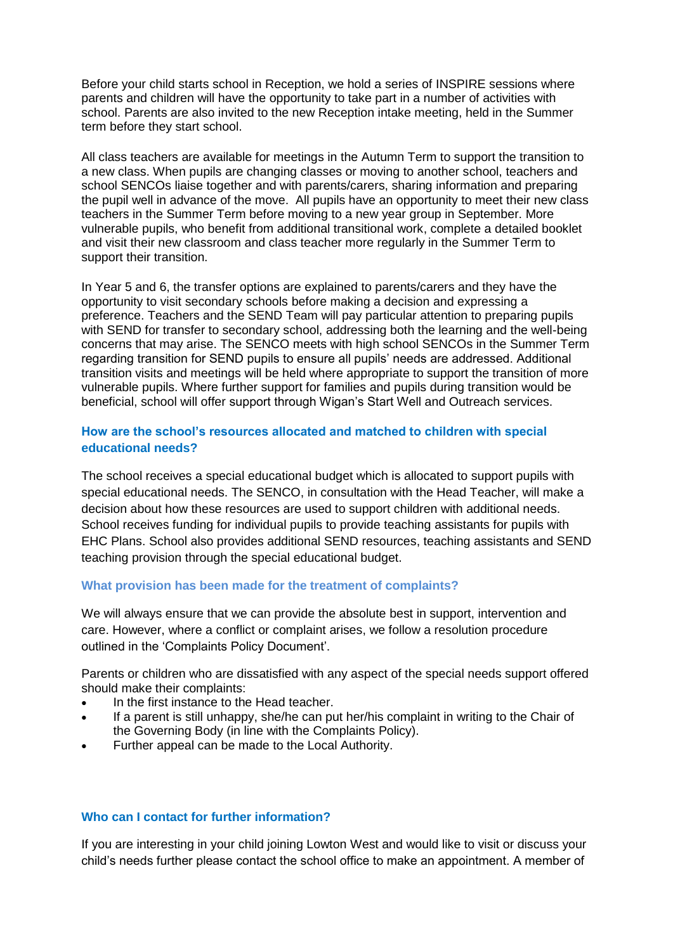Before your child starts school in Reception, we hold a series of INSPIRE sessions where parents and children will have the opportunity to take part in a number of activities with school. Parents are also invited to the new Reception intake meeting, held in the Summer term before they start school.

All class teachers are available for meetings in the Autumn Term to support the transition to a new class. When pupils are changing classes or moving to another school, teachers and school SENCOs liaise together and with parents/carers, sharing information and preparing the pupil well in advance of the move. All pupils have an opportunity to meet their new class teachers in the Summer Term before moving to a new year group in September. More vulnerable pupils, who benefit from additional transitional work, complete a detailed booklet and visit their new classroom and class teacher more regularly in the Summer Term to support their transition.

In Year 5 and 6, the transfer options are explained to parents/carers and they have the opportunity to visit secondary schools before making a decision and expressing a preference. Teachers and the SEND Team will pay particular attention to preparing pupils with SEND for transfer to secondary school, addressing both the learning and the well-being concerns that may arise. The SENCO meets with high school SENCOs in the Summer Term regarding transition for SEND pupils to ensure all pupils' needs are addressed. Additional transition visits and meetings will be held where appropriate to support the transition of more vulnerable pupils. Where further support for families and pupils during transition would be beneficial, school will offer support through Wigan's Start Well and Outreach services.

## **How are the school's resources allocated and matched to children with special educational needs?**

The school receives a special educational budget which is allocated to support pupils with special educational needs. The SENCO, in consultation with the Head Teacher, will make a decision about how these resources are used to support children with additional needs. School receives funding for individual pupils to provide teaching assistants for pupils with EHC Plans. School also provides additional SEND resources, teaching assistants and SEND teaching provision through the special educational budget.

#### **What provision has been made for the treatment of complaints?**

We will always ensure that we can provide the absolute best in support, intervention and care. However, where a conflict or complaint arises, we follow a resolution procedure outlined in the 'Complaints Policy Document'.

Parents or children who are dissatisfied with any aspect of the special needs support offered should make their complaints:

- In the first instance to the Head teacher.
- If a parent is still unhappy, she/he can put her/his complaint in writing to the Chair of the Governing Body (in line with the Complaints Policy).
- Further appeal can be made to the Local Authority.

## **Who can I contact for further information?**

If you are interesting in your child joining Lowton West and would like to visit or discuss your child's needs further please contact the school office to make an appointment. A member of